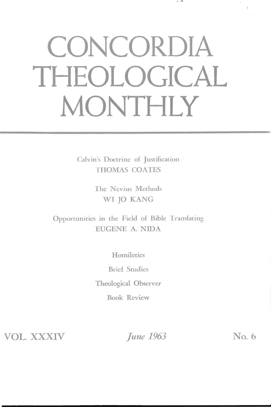## **CONCORDIA THEOLOGICAL MONTHLY**

· ..

Calvin's Doctrine of Justification THOMAS COATES

> The Nevius Methods WI JO KANG

Opportunities in the Field of Bible Translating EUGENE A. NIDA

**Homiletics** 

Brief Studies

Theological Observer

Book Review

VOL. XXXIV *Iune 1963* No. 6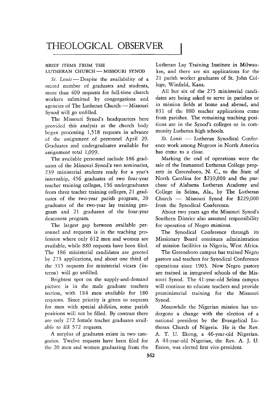## BRIEF ITEMS FROM THE LUTHERAN CHURCH-MISSOURI SYNOD

*St. Louis* - Despite the availability of a record number of graduates and students, more than 400 requests for full-time church workers submitted by congregations and agencies of The Lutheran Church - Missouri Synod will go unfilled.

The Missouri Synod's headquarters here provided this analysis as the church body began processing 1,518 requests in advance of the assignment of personnel April 29. Graduates and undergraduates available for assignment total 1,099.

The available personnel include 186 graduates of the Missouri Synod's two seminaries, 239 ministerial students ready for a year's internship, 456 graduates of two four-year teacher training colleges, 156 undergraduates from three teacher training colleges, 21 graduates of the two-year parish program, 20 graduates of the two-year lay training program and 21 graduates of the four-year deaconess program.

The largest gap between available personnel and requests is in the teaching profession where only 612 men and women are available, while 880 requests have been filed. The 186 ministerial candidates are greeted by 275 applications, and about one third of the 315 requests for ministerial vicars (interns) will go unfilled.

Brightest spot on the supply-and-demand picture is in the male graduate teachers section, with 184 men available for 180 requests. Since priority is given to requests for men with special abilities, some parish positions will not be filled. By contrast there are only 272 female teacher graduates available to fill 572 requests.

A surplus of graduates exists in two categories. Twelve requests have been filed for the 20 men and women graduating from the Lutheran Lay Training Institute in Milwaukee, and there are six applications for the 21 parish worker graduates of St. John College, Winfield, Kans.

All but six of the 275 ministerial candidates are being asked to serve in parishes or in mission fields at home and abroad, and 831 of the 880 teacher applications come from parishes. The remaining teaching positions are in the Synod's colleges or in community Lutheran high schools.

St. Louis - Lutheran Synodical Conference work among Negroes in North America has come to a close.

Marking the end of operations were the sale of the Immanuel Lutheran College property in Greensboro, N. C, to the State of North Carolina for \$239,000 and the purchase of Alabama Lutheran Academy and College in Selma, Ala., by The Lutheran Church - Missouri Synod for \$229,000 from the Synodical Conference.

About two years ago the Missouri Synod's Southern District also assumed responsibility for operation of Negro missions.

The Synodical Conference through its Missionary Board continues administration of mission facilities in Nigeria, West Africa.

The Greensboro campus has trained Negro pastors and teachers for Synodical Conference operations since 1903. Now Negro pastors are trained in integrated schools of the Missouri Synod. The 41-year-old Selma campus will continue to educate teachers and provide preministerial training for the Missouri Synod.

Meanwhile the Nigerian mission has undergone a change with the election of a national president by the Evangelical Lutheran Church of Nigeria. He is the Rev. A. T. U. Ekong, a 46-year-old Nigerian. A 44-year-old Nigerian, the Rev. A. J. U. Essien, was elected first vice-president.